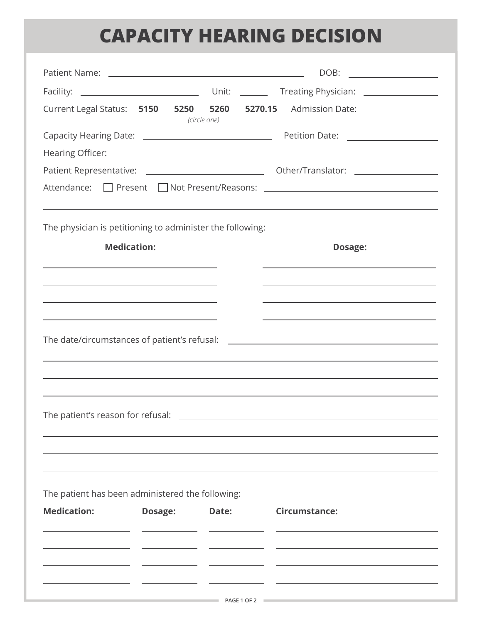## **CAPACITY HEARING DECISION**

|                                                                                                 |                                                                                                                      |              | DOB: _________________                                                                                                                                                                                                        |
|-------------------------------------------------------------------------------------------------|----------------------------------------------------------------------------------------------------------------------|--------------|-------------------------------------------------------------------------------------------------------------------------------------------------------------------------------------------------------------------------------|
|                                                                                                 |                                                                                                                      |              |                                                                                                                                                                                                                               |
| Current Legal Status: 5150 5250 5260 5270.15                                                    |                                                                                                                      | (circle one) | Admission Date: \\square\\square\\square\\square\\square\\square\\square\\square\                                                                                                                                             |
|                                                                                                 |                                                                                                                      |              |                                                                                                                                                                                                                               |
|                                                                                                 |                                                                                                                      |              |                                                                                                                                                                                                                               |
|                                                                                                 |                                                                                                                      |              |                                                                                                                                                                                                                               |
|                                                                                                 |                                                                                                                      |              | Attendance: D Present D Not Present/Reasons: 2008 2014 10:00 Present/Reasons: 2008                                                                                                                                            |
| The physician is petitioning to administer the following:                                       |                                                                                                                      |              |                                                                                                                                                                                                                               |
| <b>Medication:</b>                                                                              |                                                                                                                      |              | Dosage:                                                                                                                                                                                                                       |
|                                                                                                 |                                                                                                                      |              |                                                                                                                                                                                                                               |
| the contract of the contract of the contract of the contract of the contract of the contract of |                                                                                                                      |              | the control of the control of the control of the control of the control of the control of the control of the control of the control of the control of the control of the control of the control of the control of the control |
|                                                                                                 | <u> 1989 - Johann Stein, mars an deutscher Stein und der Stein und der Stein und der Stein und der Stein und der</u> |              | The date/circumstances of patient's refusal: ___________________________________                                                                                                                                              |
| The patient's reason for refusal: \[\]                                                          |                                                                                                                      |              |                                                                                                                                                                                                                               |
| The patient has been administered the following:<br><b>Medication:</b>                          | Dosage:                                                                                                              | Date:        | <b>Circumstance:</b>                                                                                                                                                                                                          |
|                                                                                                 |                                                                                                                      |              |                                                                                                                                                                                                                               |